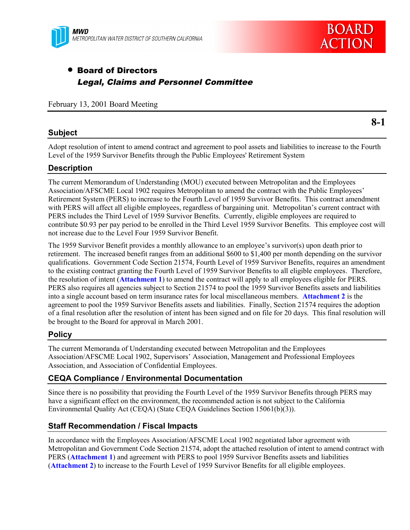



# • Board of Directors Legal, Claims and Personnel Committee

February 13, 2001 Board Meeting

## **Subject**

**8-1**

Adopt resolution of intent to amend contract and agreement to pool assets and liabilities to increase to the Fourth Level of the 1959 Survivor Benefits through the Public Employees' Retirement System

## **Description**

The current Memorandum of Understanding (MOU) executed between Metropolitan and the Employees Association/AFSCME Local 1902 requires Metropolitan to amend the contract with the Public Employees' Retirement System (PERS) to increase to the Fourth Level of 1959 Survivor Benefits. This contract amendment with PERS will affect all eligible employees, regardless of bargaining unit. Metropolitan's current contract with PERS includes the Third Level of 1959 Survivor Benefits. Currently, eligible employees are required to contribute \$0.93 per pay period to be enrolled in the Third Level 1959 Survivor Benefits. This employee cost will not increase due to the Level Four 1959 Survivor Benefit.

The 1959 Survivor Benefit provides a monthly allowance to an employee's survivor(s) upon death prior to retirement. The increased benefit ranges from an additional \$600 to \$1,400 per month depending on the survivor qualifications. Government Code Section 21574, Fourth Level of 1959 Survivor Benefits, requires an amendment to the existing contract granting the Fourth Level of 1959 Survivor Benefits to all eligible employees. Therefore, the resolution of intent (**Attachment 1**) to amend the contract will apply to all employees eligible for PERS. PERS also requires all agencies subject to Section 21574 to pool the 1959 Survivor Benefits assets and liabilities into a single account based on term insurance rates for local miscellaneous members. **Attachment 2** is the agreement to pool the 1959 Survivor Benefits assets and liabilities. Finally, Section 21574 requires the adoption of a final resolution after the resolution of intent has been signed and on file for 20 days. This final resolution will be brought to the Board for approval in March 2001.

## **Policy**

The current Memoranda of Understanding executed between Metropolitan and the Employees Association/AFSCME Local 1902, Supervisors' Association, Management and Professional Employees Association, and Association of Confidential Employees.

## **CEQA Compliance / Environmental Documentation**

Since there is no possibility that providing the Fourth Level of the 1959 Survivor Benefits through PERS may have a significant effect on the environment, the recommended action is not subject to the California Environmental Quality Act (CEQA) (State CEQA Guidelines Section 15061(b)(3)).

## **Staff Recommendation / Fiscal Impacts**

In accordance with the Employees Association/AFSCME Local 1902 negotiated labor agreement with Metropolitan and Government Code Section 21574, adopt the attached resolution of intent to amend contract with PERS (**Attachment 1**) and agreement with PERS to pool 1959 Survivor Benefits assets and liabilities (**Attachment 2**) to increase to the Fourth Level of 1959 Survivor Benefits for all eligible employees.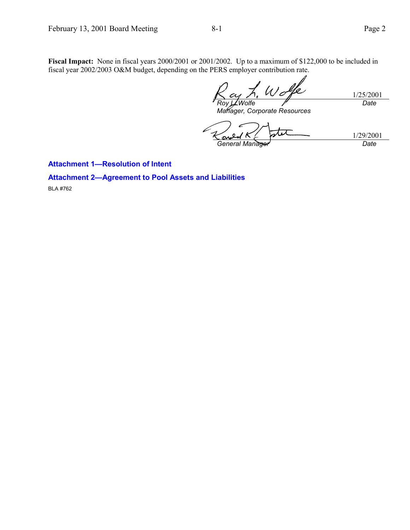**Fiscal Impact:** None in fiscal years 2000/2001 or 2001/2002. Up to a maximum of \$122,000 to be included in fiscal year 2002/2003 O&M budget, depending on the PERS employer contribution rate.

1/25/2001 *Roy L. Wolfe Date*

*Manager, Corporate Resources*

1/29/2001 su *General Manager Date*

**Attachment 1—Resolution of Intent**

**Attachment 2—Agreement to Pool Assets and Liabilities**

BLA #762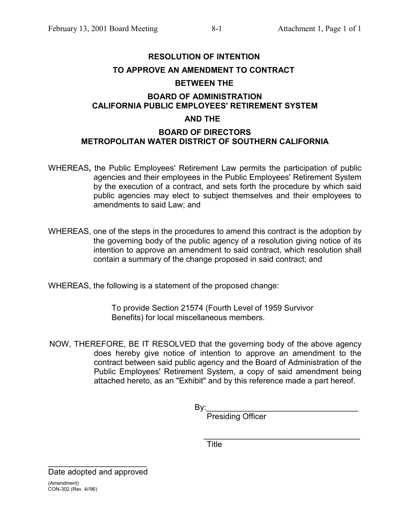# **RESOLUTION OF INTENTION TO APPROVE AN AMENDMENT TO CONTRACT BETWEEN THE**

## **BOARD OF ADMINISTRATION CALIFORNIA PUBLIC EMPLOYEES' RETIREMENT SYSTEM**

## **AND THE**

## **BOARD OF DIRECTORS METROPOLITAN WATER DISTRICT OF SOUTHERN CALIFORNIA**

- WHEREAS**,** the Public Employees' Retirement Law permits the participation of public agencies and their employees in the Public Employees' Retirement System by the execution of a contract, and sets forth the procedure by which said public agencies may elect to subject themselves and their employees to amendments to said Law; and
- WHEREAS, one of the steps in the procedures to amend this contract is the adoption by the governing body of the public agency of a resolution giving notice of its intention to approve an amendment to said contract, which resolution shall contain a summary of the change proposed in said contract; and

WHEREAS, the following is a statement of the proposed change:

To provide Section 21574 (Fourth Level of 1959 Survivor Benefits) for local miscellaneous members.

NOW, THEREFORE, BE IT RESOLVED that the governing body of the above agency does hereby give notice of intention to approve an amendment to the contract between said public agency and the Board of Administration of the Public Employees' Retirement System, a copy of said amendment being attached hereto, as an "Exhibit" and by this reference made a part hereof.

By:\_\_\_\_\_\_\_\_\_\_\_\_\_\_\_\_\_\_\_\_\_\_\_\_\_\_\_\_\_\_\_\_\_\_

Presiding Officer

 $\mathcal{L}=\frac{1}{2}$  , where  $\mathcal{L}=\frac{1}{2}$  , where  $\mathcal{L}=\frac{1}{2}$  , where  $\mathcal{L}=\frac{1}{2}$ **Title** 

Date adopted and approved (Amendment) CON-302 (Rev. 4//96)

 $\mathcal{L}=\{1,2,3,4,5\}$